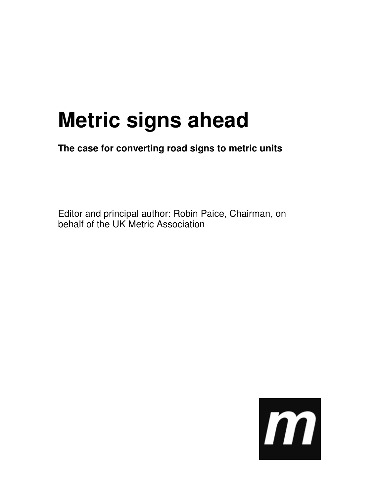# **Metric signs ahead**

**The case for converting road signs to metric units** 

Editor and principal author: Robin Paice, Chairman, on behalf of the UK Metric Association

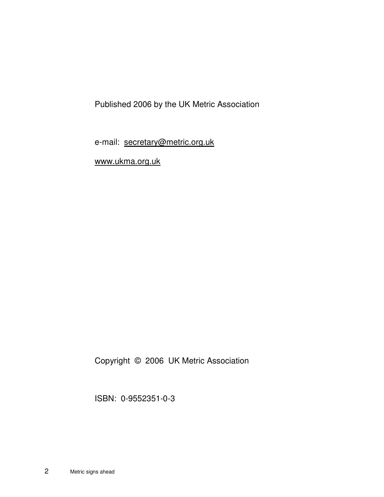Published 2006 by the UK Metric Association

e-mail: secretary@metric.org.uk

www.ukma.org.uk

Copyright © 2006 UK Metric Association

ISBN: 0-9552351-0-3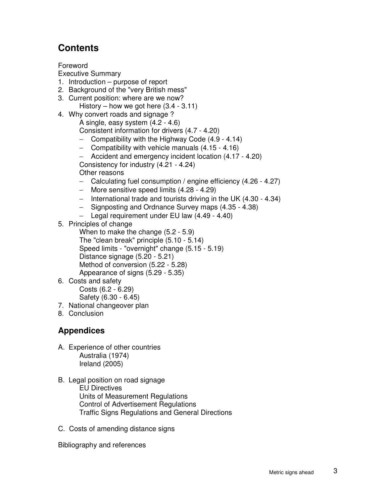## **Contents**

Foreword

Executive Summary

- 1. Introduction purpose of report
- 2. Background of the "very British mess"
- 3. Current position: where are we now?
	- History how we got here  $(3.4 3.11)$
- 4. Why convert roads and signage ? A single, easy system (4.2 - 4.6)
	- Consistent information for drivers (4.7 4.20)
	- − Compatibility with the Highway Code (4.9 4.14)
	- − Compatibility with vehicle manuals (4.15 4.16)
	- − Accident and emergency incident location (4.17 4.20)
	- Consistency for industry (4.21 4.24)

Other reasons

- − Calculating fuel consumption / engine efficiency (4.26 4.27)
- − More sensitive speed limits (4.28 4.29)
- − International trade and tourists driving in the UK (4.30 4.34)
- − Signposting and Ordnance Survey maps (4.35 4.38)
- − Legal requirement under EU law (4.49 4.40)
- 5. Principles of change
	- When to make the change (5.2 5.9) The "clean break" principle (5.10 - 5.14) Speed limits - "overnight" change (5.15 - 5.19) Distance signage (5.20 - 5.21) Method of conversion (5.22 - 5.28) Appearance of signs (5.29 - 5.35)

# 6. Costs and safety

Costs (6.2 - 6.29)

- Safety (6.30 6.45)
- 7. National changeover plan
- 8. Conclusion

#### **Appendices**

- A. Experience of other countries Australia (1974) Ireland (2005)
- B. Legal position on road signage EU Directives Units of Measurement Regulations Control of Advertisement Regulations Traffic Signs Regulations and General Directions
- C. Costs of amending distance signs

Bibliography and references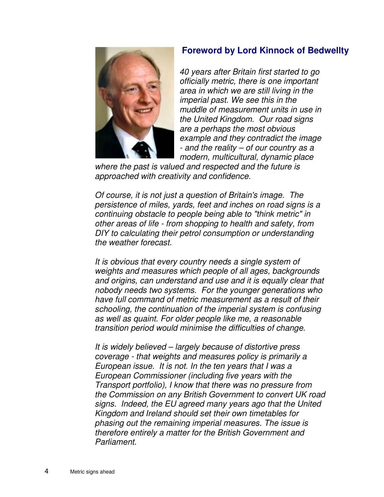#### **Foreword by Lord Kinnock of Bedwellty**



40 years after Britain first started to go officially metric, there is one important area in which we are still living in the imperial past. We see this in the muddle of measurement units in use in the United Kingdom. Our road signs are a perhaps the most obvious example and they contradict the image - and the reality – of our country as a modern, multicultural, dynamic place

where the past is valued and respected and the future is approached with creativity and confidence.

Of course, it is not just a question of Britain's image. The persistence of miles, yards, feet and inches on road signs is a continuing obstacle to people being able to "think metric" in other areas of life - from shopping to health and safety, from DIY to calculating their petrol consumption or understanding the weather forecast.

It is obvious that every country needs a single system of weights and measures which people of all ages, backgrounds and origins, can understand and use and it is equally clear that nobody needs two systems. For the younger generations who have full command of metric measurement as a result of their schooling, the continuation of the imperial system is confusing as well as quaint. For older people like me, a reasonable transition period would minimise the difficulties of change.

It is widely believed – largely because of distortive press coverage - that weights and measures policy is primarily a European issue. It is not. In the ten years that I was a European Commissioner (including five years with the Transport portfolio), I know that there was no pressure from the Commission on any British Government to convert UK road signs. Indeed, the EU agreed many years ago that the United Kingdom and Ireland should set their own timetables for phasing out the remaining imperial measures. The issue is therefore entirely a matter for the British Government and Parliament.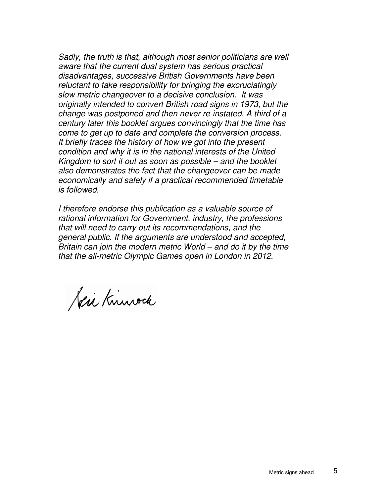Sadly, the truth is that, although most senior politicians are well aware that the current dual system has serious practical disadvantages, successive British Governments have been reluctant to take responsibility for bringing the excruciatingly slow metric changeover to a decisive conclusion. It was originally intended to convert British road signs in 1973, but the change was postponed and then never re-instated. A third of a century later this booklet argues convincingly that the time has come to get up to date and complete the conversion process. It briefly traces the history of how we got into the present condition and why it is in the national interests of the United Kingdom to sort it out as soon as possible – and the booklet also demonstrates the fact that the changeover can be made economically and safely if a practical recommended timetable is followed.

I therefore endorse this publication as a valuable source of rational information for Government, industry, the professions that will need to carry out its recommendations, and the general public. If the arguments are understood and accepted, Britain can join the modern metric World – and do it by the time that the all-metric Olympic Games open in London in 2012.

Keir Knuwack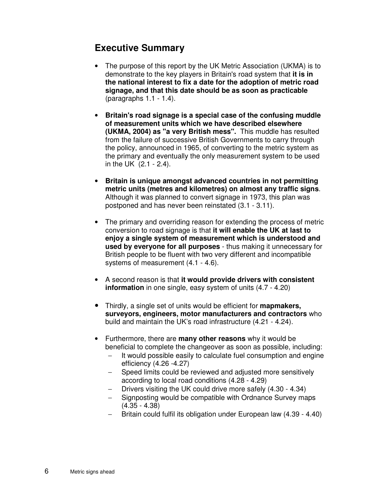### **Executive Summary**

- The purpose of this report by the UK Metric Association (UKMA) is to demonstrate to the key players in Britain's road system that **it is in the national interest to fix a date for the adoption of metric road signage, and that this date should be as soon as practicable**  (paragraphs 1.1 - 1.4).
- **Britain's road signage is a special case of the confusing muddle of measurement units which we have described elsewhere (UKMA, 2004) as "a very British mess".** This muddle has resulted from the failure of successive British Governments to carry through the policy, announced in 1965, of converting to the metric system as the primary and eventually the only measurement system to be used in the UK (2.1 - 2.4).
- **Britain is unique amongst advanced countries in not permitting metric units (metres and kilometres) on almost any traffic signs**. Although it was planned to convert signage in 1973, this plan was postponed and has never been reinstated (3.1 - 3.11).
- The primary and overriding reason for extending the process of metric conversion to road signage is that **it will enable the UK at last to enjoy a single system of measurement which is understood and used by everyone for all purposes** - thus making it unnecessary for British people to be fluent with two very different and incompatible systems of measurement (4.1 - 4.6).
- A second reason is that **it would provide drivers with consistent information** in one single, easy system of units (4.7 - 4.20)
- Thirdly, a single set of units would be efficient for **mapmakers, surveyors, engineers, motor manufacturers and contractors** who build and maintain the UK's road infrastructure (4.21 - 4.24).
- Furthermore, there are **many other reasons** why it would be beneficial to complete the changeover as soon as possible, including:
	- − It would possible easily to calculate fuel consumption and engine efficiency (4.26 -4.27)
	- − Speed limits could be reviewed and adjusted more sensitively according to local road conditions (4.28 - 4.29)
	- − Drivers visiting the UK could drive more safely (4.30 4.34)
	- − Signposting would be compatible with Ordnance Survey maps (4.35 - 4.38)
	- − Britain could fulfil its obligation under European law (4.39 4.40)